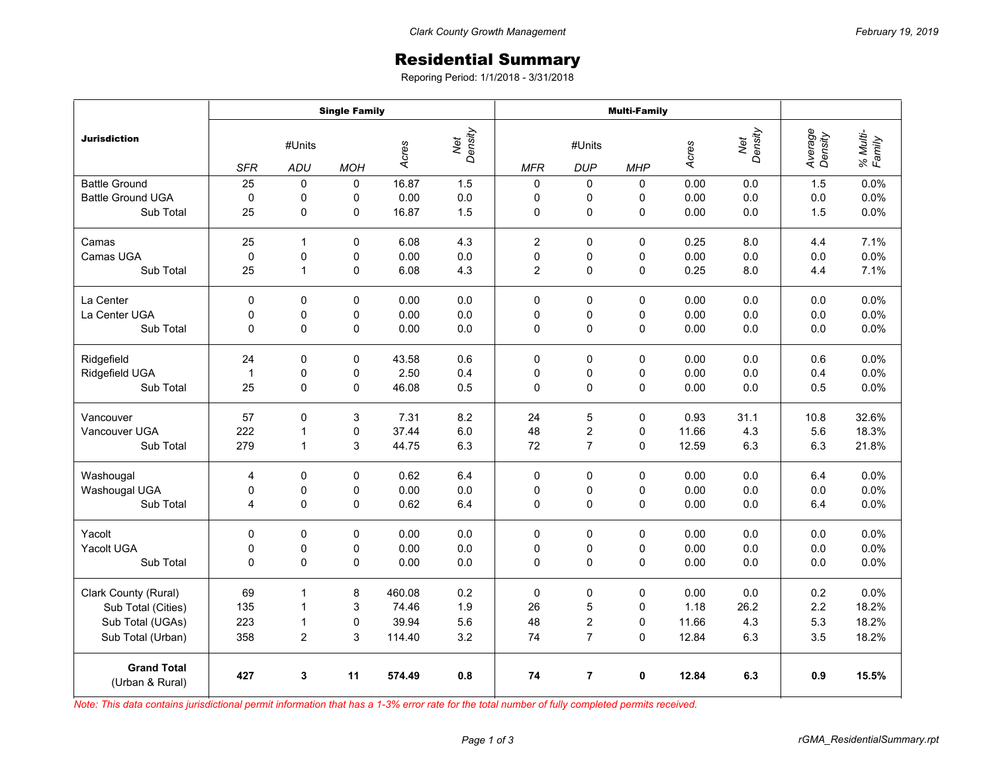## Residential Summary

Reporing Period: 1/1/2018 - 3/31/2018

|                                       | <b>Single Family</b> |              |                |                         |     | <b>Multi-Family</b> |                |             |       |                |                    |                    |
|---------------------------------------|----------------------|--------------|----------------|-------------------------|-----|---------------------|----------------|-------------|-------|----------------|--------------------|--------------------|
| <b>Jurisdiction</b>                   | #Units               |              |                | Net<br>Density<br>Acres |     | #Units              |                |             | Acres | Net<br>Density | Average<br>Density | % Multi-<br>Family |
|                                       | <b>SFR</b>           | ADU          | <b>MOH</b>     |                         |     | <b>MFR</b>          | <b>DUP</b>     | <b>MHP</b>  |       |                |                    |                    |
| <b>Battle Ground</b>                  | 25                   | $\Omega$     | $\Omega$       | 16.87                   | 1.5 | 0                   | 0              | 0           | 0.00  | 0.0            | 1.5                | 0.0%               |
| <b>Battle Ground UGA</b>              | $\pmb{0}$            | 0            | 0              | 0.00                    | 0.0 | 0                   | 0              | 0           | 0.00  | 0.0            | 0.0                | 0.0%               |
| Sub Total                             | 25                   | 0            | $\overline{0}$ | 16.87                   | 1.5 | 0                   | 0              | $\mathbf 0$ | 0.00  | 0.0            | 1.5                | 0.0%               |
| Camas                                 | 25                   | $\mathbf{1}$ | 0              | 6.08                    | 4.3 | $\overline{2}$      | 0              | 0           | 0.25  | 8.0            | 4.4                | 7.1%               |
| Camas UGA                             | 0                    | $\mathbf 0$  | 0              | 0.00                    | 0.0 | 0                   | 0              | 0           | 0.00  | 0.0            | 0.0                | 0.0%               |
| Sub Total                             | 25                   | 1            | 0              | 6.08                    | 4.3 | $\overline{2}$      | $\mathbf 0$    | 0           | 0.25  | 8.0            | 4.4                | 7.1%               |
| La Center                             | 0                    | 0            | $\mathbf 0$    | 0.00                    | 0.0 | 0                   | $\mathbf 0$    | 0           | 0.00  | 0.0            | 0.0                | 0.0%               |
| La Center UGA                         | 0                    | 0            | 0              | 0.00                    | 0.0 | 0                   | 0              | 0           | 0.00  | 0.0            | 0.0                | 0.0%               |
| Sub Total                             | 0                    | 0            | $\overline{0}$ | 0.00                    | 0.0 | 0                   | $\mathbf 0$    | 0           | 0.00  | 0.0            | 0.0                | 0.0%               |
| Ridgefield                            | 24                   | 0            | 0              | 43.58                   | 0.6 | 0                   | 0              | 0           | 0.00  | 0.0            | 0.6                | 0.0%               |
| Ridgefield UGA                        | $\mathbf{1}$         | 0            | 0              | 2.50                    | 0.4 | $\mathbf 0$         | 0              | 0           | 0.00  | 0.0            | 0.4                | 0.0%               |
| Sub Total                             | 25                   | 0            | 0              | 46.08                   | 0.5 | 0                   | 0              | 0           | 0.00  | 0.0            | 0.5                | 0.0%               |
| Vancouver                             | 57                   | $\Omega$     | 3              | 7.31                    | 8.2 | 24                  | 5              | 0           | 0.93  | 31.1           | 10.8               | 32.6%              |
| Vancouver UGA                         | 222                  | 1            | 0              | 37.44                   | 6.0 | 48                  | 2              | 0           | 11.66 | 4.3            | 5.6                | 18.3%              |
| Sub Total                             | 279                  | 1            | 3              | 44.75                   | 6.3 | 72                  | $\overline{7}$ | $\Omega$    | 12.59 | 6.3            | 6.3                | 21.8%              |
| Washougal                             | 4                    | 0            | 0              | 0.62                    | 6.4 | 0                   | 0              | 0           | 0.00  | 0.0            | 6.4                | 0.0%               |
| Washougal UGA                         | 0                    | 0            | 0              | 0.00                    | 0.0 | 0                   | 0              | 0           | 0.00  | 0.0            | 0.0                | 0.0%               |
| Sub Total                             | 4                    | 0            | 0              | 0.62                    | 6.4 | 0                   | 0              | 0           | 0.00  | 0.0            | 6.4                | 0.0%               |
| Yacolt                                | $\mathbf 0$          | 0            | $\Omega$       | 0.00                    | 0.0 | 0                   | 0              | $\Omega$    | 0.00  | 0.0            | 0.0                | 0.0%               |
| Yacolt UGA                            | 0                    | 0            | 0              | 0.00                    | 0.0 | 0                   | 0              | 0           | 0.00  | 0.0            | 0.0                | 0.0%               |
| Sub Total                             | 0                    | 0            | 0              | 0.00                    | 0.0 | $\mathbf 0$         | $\mathbf 0$    | 0           | 0.00  | 0.0            | 0.0                | 0.0%               |
| Clark County (Rural)                  | 69                   | 1            | 8              | 460.08                  | 0.2 | 0                   | $\pmb{0}$      | 0           | 0.00  | 0.0            | 0.2                | 0.0%               |
| Sub Total (Cities)                    | 135                  | 1            | 3              | 74.46                   | 1.9 | 26                  | 5              | 0           | 1.18  | 26.2           | 2.2                | 18.2%              |
| Sub Total (UGAs)                      | 223                  | 1            | 0              | 39.94                   | 5.6 | 48                  | 2              | 0           | 11.66 | 4.3            | 5.3                | 18.2%              |
| Sub Total (Urban)                     | 358                  | 2            | 3              | 114.40                  | 3.2 | 74                  | $\overline{7}$ | $\Omega$    | 12.84 | 6.3            | 3.5                | 18.2%              |
| <b>Grand Total</b><br>(Urban & Rural) | 427                  | 3            | 11             | 574.49                  | 0.8 | 74                  | $\overline{7}$ | 0           | 12.84 | 6.3            | 0.9                | 15.5%              |

*Note: This data contains jurisdictional permit information that has a 1-3% error rate for the total number of fully completed permits received.*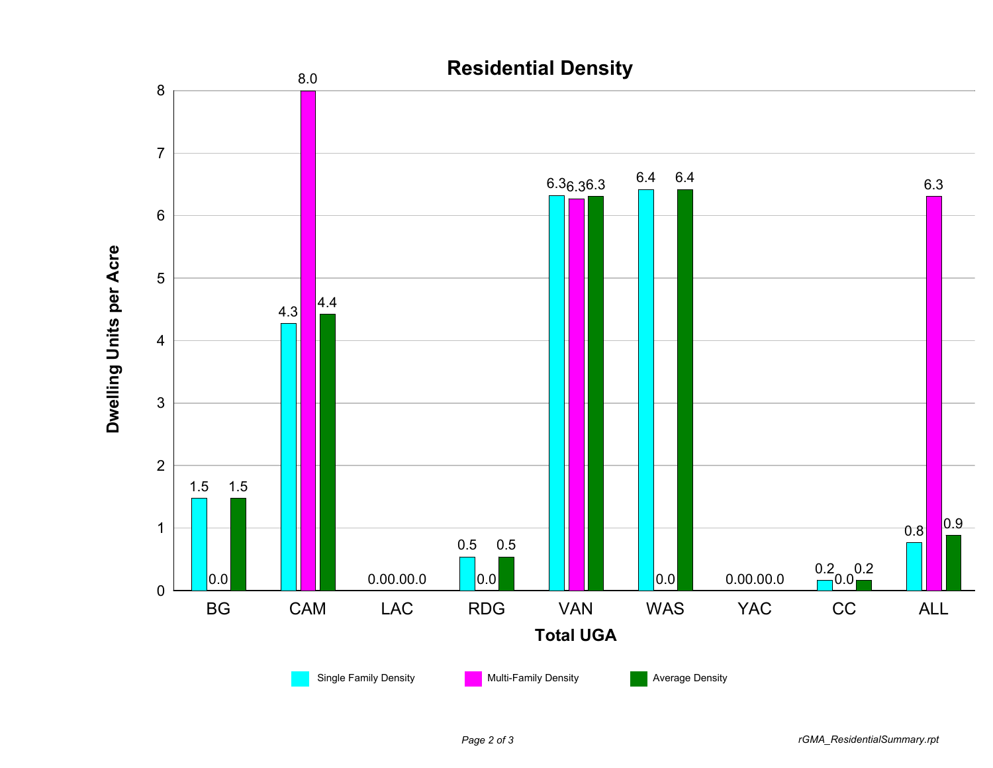